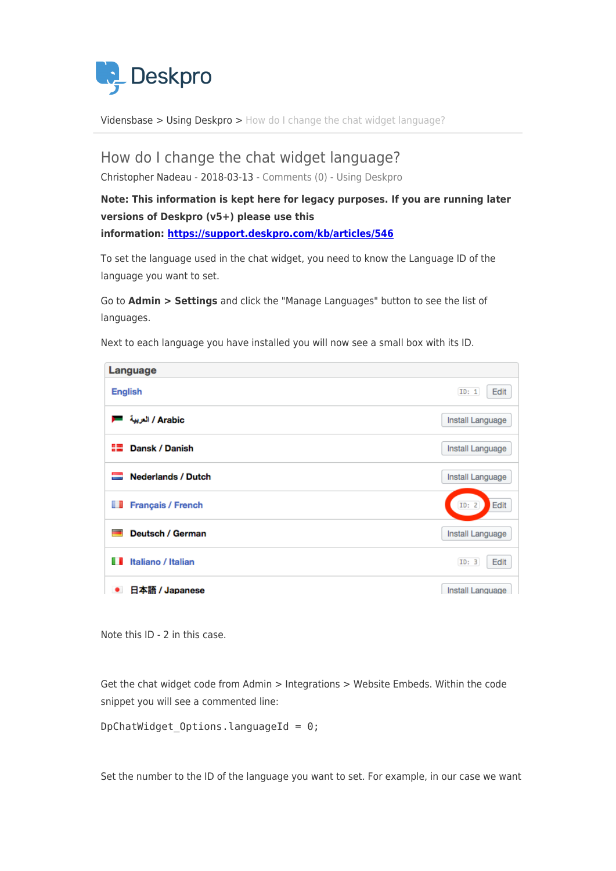

[Vidensbase](https://support.deskpro.com/da/kb) > [Using Deskpro](https://support.deskpro.com/da/kb/using-deskpro) > [How do I change the chat widget language?](https://support.deskpro.com/da/kb/articles/how-do-i-change-the-chat-widget-language)

## How do I change the chat widget language?

Christopher Nadeau - 2018-03-13 - [Comments \(0\)](#page--1-0) - [Using Deskpro](https://support.deskpro.com/da/kb/using-deskpro)

## **Note: This information is kept here for legacy purposes. If you are running later versions of Deskpro (v5+) please use this information:<https://support.deskpro.com/kb/articles/546>**

To set the language used in the chat widget, you need to know the Language ID of the language you want to set.

Go to **Admin > Settings** and click the "Manage Languages" button to see the list of languages.

Language **English ID: 1 Edit** Arabic / العربية | Install Language **■ Dansk / Danish** Install Language Nederlands / Dutch Install Language **Français / French**  $ID: 2$ Edit Deutsch / German Install Language **I** Italiano / Italian  $ID: 3$ Edit ● 日本語 / Japanese Install Language

Next to each language you have installed you will now see a small box with its ID.

Note this ID - 2 in this case.

Get the chat widget code from Admin > Integrations > Website Embeds. Within the code snippet you will see a commented line:

DpChatWidget Options.languageId =  $0$ ;

Set the number to the ID of the language you want to set. For example, in our case we want